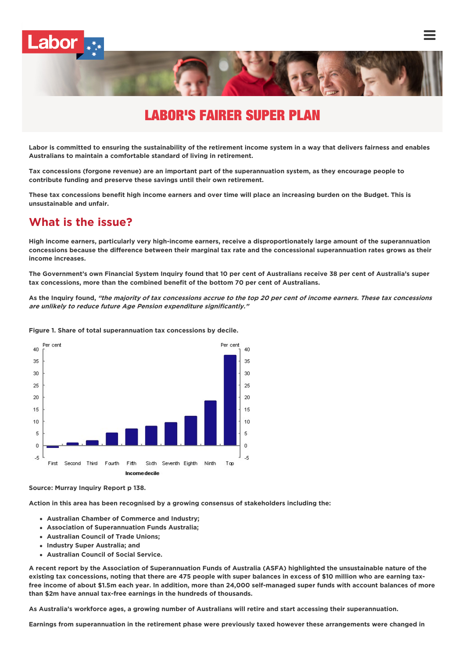

# LABOR'S FAIRER SUPER PLAN

Labor is committed to ensuring the sustainability of the retirement income system in a way that delivers fairness and enables **Australians to maintain a comfortable standard of living in retirement.**

Tax concessions (forgone revenue) are an important part of the superannuation system, as they encourage people to **contribute funding and preserve these savings until their own retirement.**

These tax concessions benefit high income earners and over time will place an increasing burden on the Budget. This is **unsustainable and unfair.**

### **What is the issue?**

High income earners, particularly very high-income earners, receive a disproportionately large amount of the superannuation concessions because the difference between their marginal tax rate and the concessional superannuation rates grows as their **income increases.**

The Government's own Financial System Inquiry found that 10 per cent of Australians receive 38 per cent of Australia's super **tax concessions, more than the combined benefit of the bottom 70 per cent of Australians.**

As the Inquiry found, "the majority of tax concessions accrue to the top 20 per cent of income earners. These tax concessions **are unlikely to reduce future Age Pension expenditure significantly."**



**Figure 1. Share of total superannuation tax concessions by decile.**

**Source: Murray Inquiry Report p 138.**

**Action in this area has been recognised by a growing consensus of stakeholders including the:**

- **Australian Chamber of Commerce and Industry;**
- **Association of Superannuation Funds Australia;**
- **Australian Council of Trade Unions;**
- **Industry Super Australia; and**
- **Australian Council of Social Service.**

A recent report by the Association of Superannuation Funds of Australia (ASFA) highlighted the unsustainable nature of the existing tax concessions, noting that there are 475 people with super balances in excess of \$10 million who are earning taxfree income of about \$1.5m each year. In addition, more than 24,000 self-managed super funds with account balances of more **than \$2m have annual tax-free earnings in the hundreds of thousands.**

As Australia's workforce ages, a growing number of Australians will retire and start accessing their superannuation.

Earnings from superannuation in the retirement phase were previously taxed however these arrangements were changed in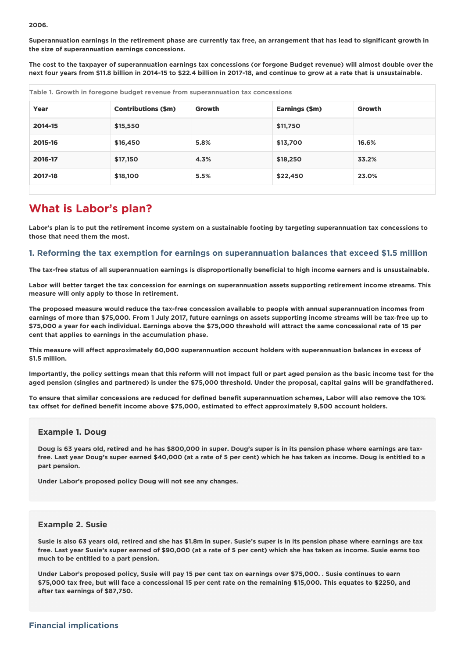#### **2006.**

Superannuation earnings in the retirement phase are currently tax free, an arrangement that has lead to significant growth in **the size of superannuation earnings concessions.**

The cost to the taxpayer of superannuation earnings tax concessions (or forgone Budget revenue) will almost double over the next four vears from \$11.8 billion in 2014-15 to \$22.4 billion in 2017-18, and continue to grow at a rate that is unsustainable.

| Table 1. Growth in foregone budget revenue from superannuation tax concessions |                            |        |                |               |
|--------------------------------------------------------------------------------|----------------------------|--------|----------------|---------------|
| Year                                                                           | <b>Contributions (\$m)</b> | Growth | Earnings (\$m) | <b>Growth</b> |
| 2014-15                                                                        | \$15,550                   |        | \$11,750       |               |
| 2015-16                                                                        | \$16,450                   | 5.8%   | \$13,700       | 16.6%         |
| 2016-17                                                                        | \$17,150                   | 4.3%   | \$18,250       | 33.2%         |
| 2017-18                                                                        | \$18,100                   | 5.5%   | \$22,450       | 23.0%         |

### **What is Labor's plan?**

Labor's plan is to put the retirement income system on a sustainable footing by targeting superannuation tax concessions to **those that need them the most.**

#### **1. Reforming the tax exemption for earnings on superannuation balances that exceed \$1.5 million**

The tax-free status of all superannuation earnings is disproportionally beneficial to high income earners and is unsustainable.

Labor will better target the tax concession for earnings on superannuation assets supporting retirement income streams. This **measure will only apply to those in retirement.**

The proposed measure would reduce the tax-free concession available to people with annual superannuation incomes from earnings of more than \$75,000. From 1 July 2017, future earnings on assets supporting income streams will be tax-free up to \$75,000 a year for each individual. Earnings above the \$75,000 threshold will attract the same concessional rate of 15 per **cent that applies to earnings in the accumulation phase.**

**This measure will affect approximately 60,000 superannuation account holders with superannuation balances in excess of \$1.5 million.**

Importantly, the policy settings mean that this reform will not impact full or part aged pension as the basic income test for the aged pension (singles and partnered) is under the \$75,000 threshold. Under the proposal, capital gains will be grandfathered.

To ensure that similar concessions are reduced for defined benefit superannuation schemes, Labor will also remove the 10% **tax offset for defined benefit income above \$75,000, estimated to effect approximately 9,500 account holders.**

#### **Example 1. Doug**

Doug is 63 years old, retired and he has \$800,000 in super. Doug's super is in its pension phase where earnings are taxfree. Last year Doug's super earned \$40,000 (at a rate of 5 per cent) which he has taken as income. Doug is entitled to a **part pension.**

**Under Labor's proposed policy Doug will not see any changes.**

#### **Example 2. Susie**

Susie is also 63 years old, retired and she has \$1.8m in super. Susie's super is in its pension phase where earnings are tax free. Last year Susie's super earned of \$90,000 (at a rate of 5 per cent) which she has taken as income. Susie earns too **much to be entitled to a part pension.**

Under Labor's proposed policy, Susie will pay 15 per cent tax on earnings over \$75,000. . Susie continues to earn \$75,000 tax free, but will face a concessional 15 per cent rate on the remaining \$15,000. This equates to \$2250, and **after tax earnings of \$87,750.**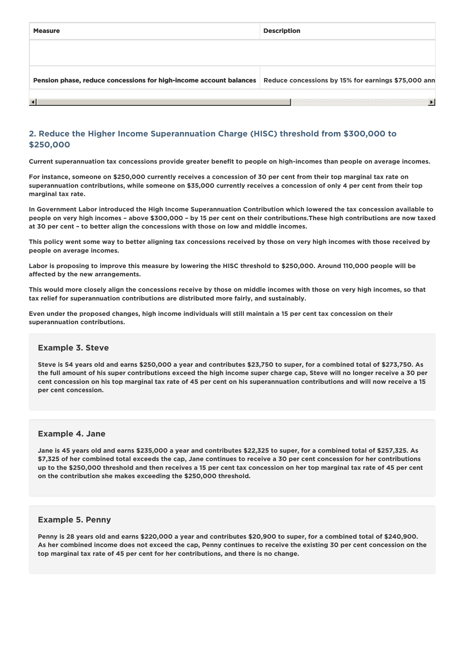| <b>Measure</b>                                                            | <b>Description</b>                                  |
|---------------------------------------------------------------------------|-----------------------------------------------------|
|                                                                           |                                                     |
| <b>Pension phase, reduce concessions for high-income account balances</b> | Reduce concessions by 15% for earnings \$75,000 ann |
| $\blacktriangleleft$                                                      |                                                     |

#### **2. Reduce the Higher Income Superannuation Charge (HISC) threshold from \$300,000 to \$250,000**

Current superannuation tax concessions provide greater benefit to people on high-incomes than people on average incomes.

For instance, someone on \$250,000 currently receives a concession of 30 per cent from their top marginal tax rate on superannuation contributions, while someone on \$35,000 currently receives a concession of only 4 per cent from their top **marginal tax rate.**

In Government Labor introduced the High Income Superannuation Contribution which lowered the tax concession available to people on very high incomes - above \$300,000 - by 15 per cent on their contributions. These high contributions are now taxed **at 30 per cent – to better align the concessions with those on low and middle incomes.**

This policy went some way to better aligning tax concessions received by those on very high incomes with those received by **people on average incomes.**

Labor is proposing to improve this measure by lowering the HISC threshold to \$250,000. Around 110,000 people will be **affected by the new arrangements.**

This would more closely align the concessions receive by those on middle incomes with those on very high incomes, so that **tax relief for superannuation contributions are distributed more fairly, and sustainably.**

Even under the proposed changes, high income individuals will still maintain a 15 per cent tax concession on their **superannuation contributions.**

#### **Example 3. Steve**

Steve is 54 years old and earns \$250,000 a year and contributes \$23,750 to super, for a combined total of \$273,750. As the full amount of his super contributions exceed the high income super charge cap. Steve will no longer receive a 30 per cent concession on his top marginal tax rate of 45 per cent on his superannuation contributions and will now receive a 15 **per cent concession.**

#### **Example 4. Jane**

Jane is 45 years old and earns \$235,000 a year and contributes \$22,325 to super, for a combined total of \$257,325. As \$7,325 of her combined total exceeds the cap, Jane continues to receive a 30 per cent concession for her contributions up to the \$250,000 threshold and then receives a 15 per cent tax concession on her top marginal tax rate of 45 per cent **on the contribution she makes exceeding the \$250,000 threshold.**

#### **Example 5. Penny**

Penny is 28 years old and earns \$220,000 a year and contributes \$20,900 to super, for a combined total of \$240,900. As her combined income does not exceed the cap, Penny continues to receive the existing 30 per cent concession on the **top marginal tax rate of 45 per cent for her contributions, and there is no change.**